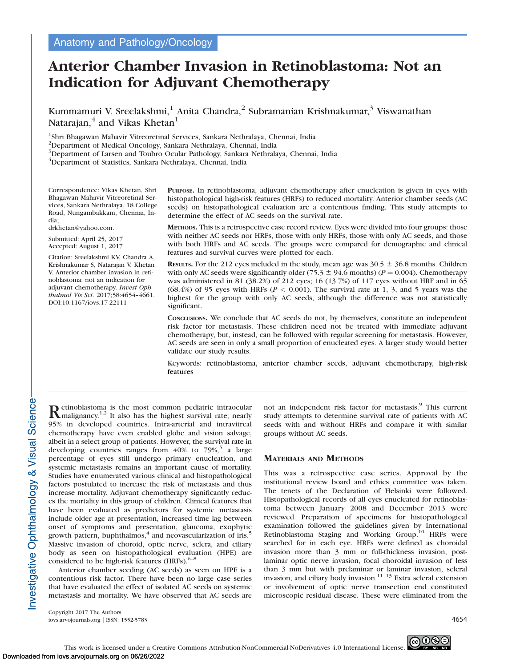# Anterior Chamber Invasion in Retinoblastoma: Not an Indication for Adjuvant Chemotherapy

Kummamuri V. Sreelakshmi,<sup>1</sup> Anita Chandra,<sup>2</sup> Subramanian Krishnakumar,<sup>3</sup> Viswanathan Natarajan, $4$  and Vikas Khetan<sup>1</sup>

<sup>1</sup>Shri Bhagawan Mahavir Vitreoretinal Services, Sankara Nethralaya, Chennai, India

2 Department of Medical Oncology, Sankara Nethralaya, Chennai, India

<sup>3</sup>Department of Larsen and Toubro Ocular Pathology, Sankara Nethralaya, Chennai, India

4 Department of Statistics, Sankara Nethralaya, Chennai, India

Correspondence: Vikas Khetan, Shri Bhagawan Mahavir Vitreoretinal Services, Sankara Nethralaya, 18 College Road, Nungambakkam, Chennai, India;

drkhetan@yahoo.com.

Submitted: April 25, 2017 Accepted: August 1, 2017

Citation: Sreelakshmi KV, Chandra A, Krishnakumar S, Natarajan V, Khetan V. Anterior chamber invasion in retinoblastoma: not an indication for adjuvant chemotherapy. Invest Ophthalmol Vis Sci. 2017;58:4654–4661. DOI:10.1167/iovs.17-22111

PURPOSE. In retinoblastoma, adjuvant chemotherapy after enucleation is given in eyes with histopathological high-risk features (HRFs) to reduced mortality. Anterior chamber seeds (AC seeds) on histopathological evaluation are a contentious finding. This study attempts to determine the effect of AC seeds on the survival rate.

METHODS. This is a retrospective case record review. Eyes were divided into four groups: those with neither AC seeds nor HRFs, those with only HRFs, those with only AC seeds, and those with both HRFs and AC seeds. The groups were compared for demographic and clinical features and survival curves were plotted for each.

RESULTS. For the 212 eyes included in the study, mean age was  $30.5 \pm 36.8$  months. Children with only AC seeds were significantly older (75.3  $\pm$  94.6 months) ( $P = 0.004$ ). Chemotherapy was administered in 81 (38.2%) of 212 eyes; 16 (13.7%) of 117 eyes without HRF and in 65 (68.4%) of 95 eyes with HRFs ( $P < 0.001$ ). The survival rate at 1, 3, and 5 years was the highest for the group with only AC seeds, although the difference was not statistically significant.

CONCLUSIONS. We conclude that AC seeds do not, by themselves, constitute an independent risk factor for metastasis. These children need not be treated with immediate adjuvant chemotherapy, but, instead, can be followed with regular screening for metastasis. However, AC seeds are seen in only a small proportion of enucleated eyes. A larger study would better validate our study results.

Keywords: retinoblastoma, anterior chamber seeds, adjuvant chemotherapy, high-risk features

Retinoblastoma is the most common pediatric intraocular<br>malignancy.<sup>1,2</sup> It also has the highest survival rate; nearly 95% in developed countries. Intra-arterial and intravitreal chemotherapy have even enabled globe and vision salvage, albeit in a select group of patients. However, the survival rate in developing countries ranges from  $40\%$  to  $79\%$ ,<sup>3</sup> a large percentage of eyes still undergo primary enucleation, and systemic metastasis remains an important cause of mortality. Studies have enumerated various clinical and histopathological factors postulated to increase the risk of metastasis and thus increase mortality. Adjuvant chemotherapy significantly reduces the mortality in this group of children. Clinical features that have been evaluated as predictors for systemic metastasis include older age at presentation, increased time lag between onset of symptoms and presentation, glaucoma, exophytic growth pattern, buphthalmos, $4$  and neovascularization of iris.<sup>5</sup> Massive invasion of choroid, optic nerve, sclera, and ciliary body as seen on histopathological evaluation (HPE) are considered to be high-risk features (HRFs).<sup>6-8</sup>

Anterior chamber seeding (AC seeds) as seen on HPE is a contentious risk factor. There have been no large case series that have evaluated the effect of isolated AC seeds on systemic metastasis and mortality. We have observed that AC seeds are

Copyright 2017 The Authors iovs.arvojournals.org j ISSN: 1552-5783 4654

not an independent risk factor for metastasis.<sup>9</sup> This current study attempts to determine survival rate of patients with AC seeds with and without HRFs and compare it with similar groups without AC seeds.

# MATERIALS AND METHODS

This was a retrospective case series. Approval by the institutional review board and ethics committee was taken. The tenets of the Declaration of Helsinki were followed. Histopathological records of all eyes enucleated for retinoblastoma between January 2008 and December 2013 were reviewed. Preparation of specimens for histopathological examination followed the guidelines given by International Retinoblastoma Staging and Working Group.<sup>10</sup> HRFs were searched for in each eye. HRFs were defined as choroidal invasion more than 3 mm or full-thickness invasion, postlaminar optic nerve invasion, focal choroidal invasion of less than 3 mm but with prelaminar or laminar invasion, scleral invasion, and ciliary body invasion.<sup>11-13</sup> Extra scleral extension or involvement of optic nerve transection end constituted microscopic residual disease. These were eliminated from the

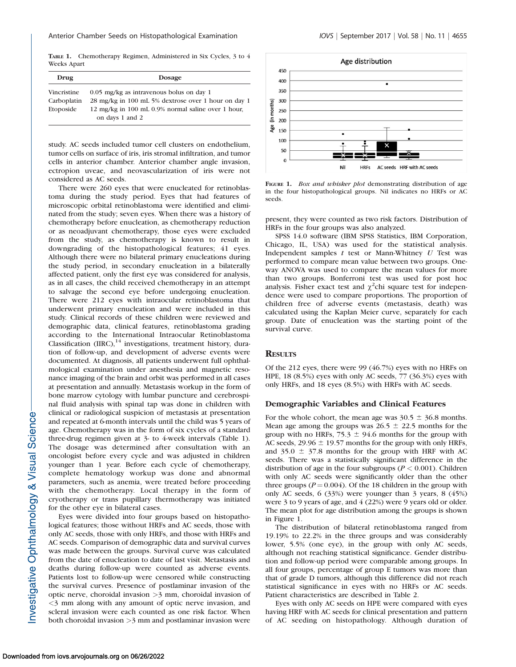TABLE 1. Chemotherapy Regimen, Administered in Six Cycles, 3 to 4 Weeks Apart

| Drug        | <b>Dosage</b>                                                         |  |  |
|-------------|-----------------------------------------------------------------------|--|--|
| Vincristine | $0.05$ mg/kg as intravenous bolus on day 1                            |  |  |
| Carboplatin | 28 mg/kg in 100 mL 5% dextrose over 1 hour on day 1                   |  |  |
| Etoposide   | 12 mg/kg in 100 mL 0.9% normal saline over 1 hour,<br>on days 1 and 2 |  |  |

study. AC seeds included tumor cell clusters on endothelium, tumor cells on surface of iris, iris stromal infiltration, and tumor cells in anterior chamber. Anterior chamber angle invasion, ectropion uveae, and neovascularization of iris were not considered as AC seeds.

There were 260 eyes that were enucleated for retinoblastoma during the study period. Eyes that had features of microscopic orbital retinoblastoma were identified and eliminated from the study; seven eyes. When there was a history of chemotherapy before enucleation, as chemotherapy reduction or as neoadjuvant chemotherapy, those eyes were excluded from the study, as chemotherapy is known to result in downgrading of the histopathological features; 41 eyes. Although there were no bilateral primary enucleations during the study period, in secondary enucleation in a bilaterally affected patient, only the first eye was considered for analysis, as in all cases, the child received chemotherapy in an attempt to salvage the second eye before undergoing enucleation. There were 212 eyes with intraocular retinoblastoma that underwent primary enucleation and were included in this study. Clinical records of these children were reviewed and demographic data, clinical features, retinoblastoma grading according to the International Intraocular Retinoblastoma Classification  $(IIRC)$ ,<sup>14</sup> investigations, treatment history, duration of follow-up, and development of adverse events were documented. At diagnosis, all patients underwent full ophthalmological examination under anesthesia and magnetic resonance imaging of the brain and orbit was performed in all cases at presentation and annually. Metastasis workup in the form of bone marrow cytology with lumbar puncture and cerebrospinal fluid analysis with spinal tap was done in children with clinical or radiological suspicion of metastasis at presentation and repeated at 6-month intervals until the child was 5 years of age. Chemotherapy was in the form of six cycles of a standard three-drug regimen given at 3- to 4-week intervals (Table 1). The dosage was determined after consultation with an oncologist before every cycle and was adjusted in children younger than 1 year. Before each cycle of chemotherapy, complete hematology workup was done and abnormal parameters, such as anemia, were treated before proceeding with the chemotherapy. Local therapy in the form of cryotherapy or trans pupillary thermotherapy was initiated for the other eye in bilateral cases.

Eyes were divided into four groups based on histopathological features; those without HRFs and AC seeds, those with only AC seeds, those with only HRFs, and those with HRFs and AC seeds. Comparison of demographic data and survival curves was made between the groups. Survival curve was calculated from the date of enucleation to date of last visit. Metastasis and deaths during follow-up were counted as adverse events. Patients lost to follow-up were censored while constructing the survival curves. Presence of postlaminar invasion of the optic nerve, choroidal invasion >3 mm, choroidal invasion of <3 mm along with any amount of optic nerve invasion, and scleral invasion were each counted as one risk factor. When both choroidal invasion >3 mm and postlaminar invasion were



FIGURE 1. Box and whisker plot demonstrating distribution of age in the four histopathological groups. Nil indicates no HRFs or AC seeds.

present, they were counted as two risk factors. Distribution of HRFs in the four groups was also analyzed.

SPSS 14.0 software (IBM SPSS Statistics, IBM Corporation, Chicago, IL, USA) was used for the statistical analysis. Independent samples  $t$  test or Mann-Whitney  $U$  Test was performed to compare mean value between two groups. Oneway ANOVA was used to compare the mean values for more than two groups. Bonferroni test was used for post hoc analysis. Fisher exact test and  $\chi^2$ chi square test for independence were used to compare proportions. The proportion of children free of adverse events (metastasis, death) was calculated using the Kaplan Meier curve, separately for each group. Date of enucleation was the starting point of the survival curve.

### **RESULTS**

Of the 212 eyes, there were 99 (46.7%) eyes with no HRFs on HPE, 18 (8.5%) eyes with only AC seeds, 77 (36.3%) eyes with only HRFs, and 18 eyes (8.5%) with HRFs with AC seeds.

#### Demographic Variables and Clinical Features

For the whole cohort, the mean age was  $30.5 \pm 36.8$  months. Mean age among the groups was  $26.5 \pm 22.5$  months for the group with no HRFs, 75.3  $\pm$  94.6 months for the group with AC seeds,  $29.96 \pm 19.57$  months for the group with only HRFs, and  $35.0 \pm 37.8$  months for the group with HRF with AC seeds. There was a statistically significant difference in the distribution of age in the four subgroups ( $P < 0.001$ ). Children with only AC seeds were significantly older than the other three groups ( $P = 0.004$ ). Of the 18 children in the group with only AC seeds, 6 (33%) were younger than 3 years, 8 (45%) were 3 to 9 years of age, and 4 (22%) were 9 years old or older. The mean plot for age distribution among the groups is shown in Figure 1.

The distribution of bilateral retinoblastoma ranged from 19.19% to 22.2% in the three groups and was considerably lower, 5.5% (one eye), in the group with only AC seeds, although not reaching statistical significance. Gender distribution and follow-up period were comparable among groups. In all four groups, percentage of group E tumors was more than that of grade D tumors, although this difference did not reach statistical significance in eyes with no HRFs or AC seeds. Patient characteristics are described in Table 2.

Eyes with only AC seeds on HPE were compared with eyes having HRF with AC seeds for clinical presentation and pattern of AC seeding on histopathology. Although duration of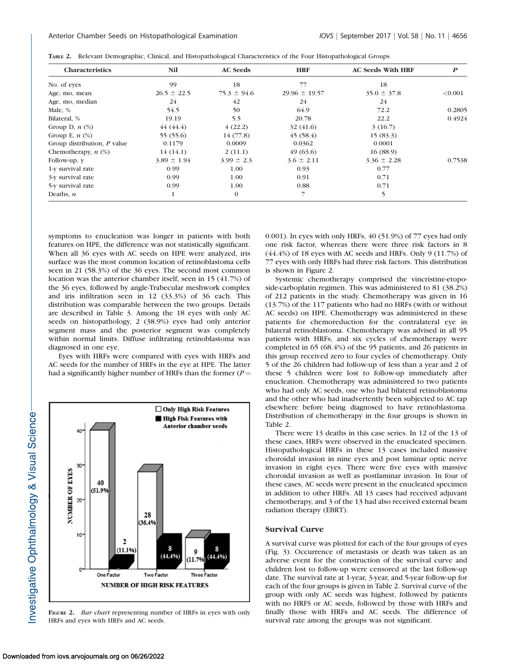| <b>Characteristics</b>      | Nil             | <b>AC</b> Seeds | <b>HRF</b>        | <b>AC Seeds With HRF</b> | $\boldsymbol{P}$ |
|-----------------------------|-----------------|-----------------|-------------------|--------------------------|------------------|
| No. of eyes                 | 99              | 18              | 77                | 18                       |                  |
| Age, mo, mean               | $26.5 \pm 22.5$ | $75.3 \pm 94.6$ | $29.96 \pm 19.57$ | $35.0 \pm 37.8$          | < 0.001          |
| Age, mo, median             | 24              | 42              | 24                | 24                       |                  |
| Male, %                     | 54.5            | 50              | 64.9              | 72.2                     | 0.2805           |
| Bilateral, %                | 19.19           | 5.5             | 20.78             | 22.2                     | 0.4924           |
| Group D, $n$ $(\%)$         | 44(44.4)        | 4(22.2)         | 32(41.6)          | 3(16.7)                  |                  |
| Group E, $n$ $(\%)$         | 55 (55.6)       | 14(77.8)        | 45(58.4)          | 15(83.3)                 |                  |
| Group distribution, P value | 0.1179          | 0.0009          | 0.0362            | 0.0001                   |                  |
| Chemotherapy, $n$ $(\%)$    | 14(14.1)        | 2(11.1)         | 49(63.6)          | 16(88.9)                 |                  |
| Follow-up, y                | $3.89 \pm 1.94$ | $3.99 \pm 2.3$  | $3.6 \pm 2.11$    | $3.36 \pm 2.28$          | 0.7538           |
| 1-y survival rate           | 0.99            | 1.00            | 0.93              | 0.77                     |                  |
| 3-y survival rate           | 0.99            | 1.00            | 0.91              | 0.71                     |                  |
| 5-y survival rate           | 0.99            | 1.00            | 0.88              | 0.71                     |                  |
| Deaths, $n$                 | 1               | $\theta$        |                   | 5                        |                  |

TABLE 2. Relevant Demographic, Clinical, and Histopathological Characteristics of the Four Histopathological Groups

symptoms to enucleation was longer in patients with both features on HPE, the difference was not statistically significant. When all 36 eyes with AC seeds on HPE were analyzed, iris surface was the most common location of retinoblastoma cells seen in 21 (58.3%) of the 36 eyes. The second most common location was the anterior chamber itself, seen in 15 (41.7%) of the 36 eyes, followed by angle-Trabecular meshwork complex and iris infiltration seen in 12 (33.3%) of 36 each. This distribution was comparable between the two groups. Details are described in Table 3. Among the 18 eyes with only AC seeds on histopathology, 2 (38.9%) eyes had only anterior segment mass and the posterior segment was completely within normal limits. Diffuse infiltrating retinoblastoma was diagnosed in one eye.

Eyes with HRFs were compared with eyes with HRFs and AC seeds for the number of HRFs in the eye at HPE. The latter had a significantly higher number of HRFs than the former ( $P =$ 



FIGURE 2. *Bar chart* representing number of HRFs in eyes with only HRFs and eyes with HRFs and AC seeds.

0.001). In eyes with only HRFs, 40 (51.9%) of 77 eyes had only one risk factor, whereas there were three risk factors in 8  $(44.4\%)$  of 18 eyes with AC seeds and HRFs. Only 9  $(11.7\%)$  of 77 eyes with only HRFs had three risk factors. This distribution is shown in Figure 2.

Systemic chemotherapy comprised the vincristine-etoposide-carboplatin regimen. This was administered to 81 (38.2%) of 212 patients in the study. Chemotherapy was given in 16 (13.7%) of the 117 patients who had no HRFs (with or without AC seeds) on HPE. Chemotherapy was administered in these patients for chemoreduction for the contralateral eye in bilateral retinoblastoma. Chemotherapy was advised in all 95 patients with HRFs, and six cycles of chemotherapy were completed in 65 (68.4%) of the 95 patients, and 26 patients in this group received zero to four cycles of chemotherapy. Only 5 of the 26 children had follow-up of less than a year and 2 of these 5 children were lost to follow-up immediately after enucleation. Chemotherapy was administered to two patients who had only AC seeds, one who had bilateral retinoblastoma and the other who had inadvertently been subjected to AC tap elsewhere before being diagnosed to have retinoblastoma. Distribution of chemotherapy in the four groups is shown in Table 2.

There were 13 deaths in this case series. In 12 of the 13 of these cases, HRFs were observed in the enucleated specimen. Histopathological HRFs in these 13 cases included massive choroidal invasion in nine eyes and post laminar optic nerve invasion in eight eyes. There were five eyes with massive choroidal invasion as well as postlaminar invasion. In four of these cases, AC seeds were present in the enucleated specimen in addition to other HRFs. All 13 cases had received adjuvant chemotherapy, and 3 of the 13 had also received external beam radiation therapy (EBRT).

#### Survival Curve

A survival curve was plotted for each of the four groups of eyes (Fig. 3). Occurrence of metastasis or death was taken as an adverse event for the construction of the survival curve and children lost to follow-up were censored at the last follow-up date. The survival rate at 1-year, 3-year, and 5-year follow-up for each of the four groups is given in Table 2. Survival curve of the group with only AC seeds was highest, followed by patients with no HRFS or AC seeds, followed by those with HRFs and finally those with HRFs and AC seeds. The difference of survival rate among the groups was not significant.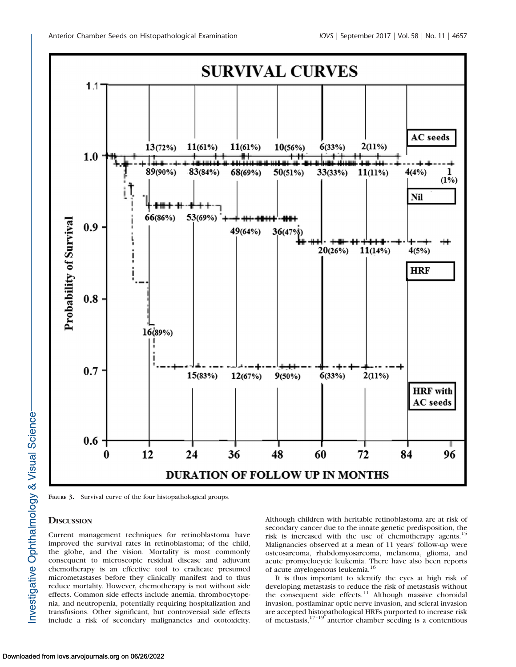

FIGURE 3. Survival curve of the four histopathological groups.

## **DISCUSSION**

Current management techniques for retinoblastoma have improved the survival rates in retinoblastoma; of the child, the globe, and the vision. Mortality is most commonly consequent to microscopic residual disease and adjuvant chemotherapy is an effective tool to eradicate presumed micrometastases before they clinically manifest and to thus reduce mortality. However, chemotherapy is not without side effects. Common side effects include anemia, thrombocytopenia, and neutropenia, potentially requiring hospitalization and transfusions. Other significant, but controversial side effects include a risk of secondary malignancies and ototoxicity.

Although children with heritable retinoblastoma are at risk of secondary cancer due to the innate genetic predisposition, the risk is increased with the use of chemotherapy agents.<sup>15</sup> Malignancies observed at a mean of 11 years' follow-up were osteosarcoma, rhabdomyosarcoma, melanoma, glioma, and acute promyelocytic leukemia. There have also been reports of acute myelogenous leukemia.<sup>16</sup>

It is thus important to identify the eyes at high risk of developing metastasis to reduce the risk of metastasis without the consequent side effects.<sup>11</sup> Although massive choroidal invasion, postlaminar optic nerve invasion, and scleral invasion are accepted histopathological HRFs purported to increase risk of metastasis,17–19 anterior chamber seeding is a contentious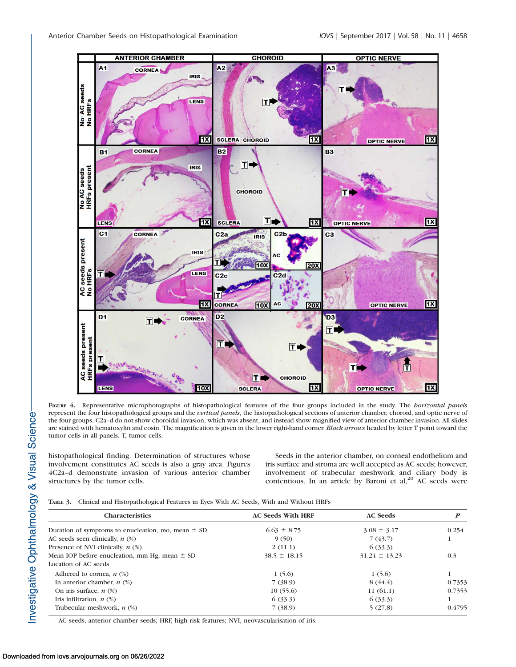

FIGURE 4. Representative microphotographs of histopathological features of the four groups included in the study. The *horizontal panels* represent the four histopathological groups and the vertical panels, the histopathological sections of anterior chamber, choroid, and optic nerve of the four groups. C2a–d do not show choroidal invasion, which was absent, and instead show magnified view of anterior chamber invasion. All slides are stained with hematoxylin and eosin. The magnification is given in the lower right-hand corner. Black arrows headed by letter T point toward the tumor cells in all panels. T, tumor cells.

histopathological finding. Determination of structures whose involvement constitutes AC seeds is also a gray area. Figures 4C2a–d demonstrate invasion of various anterior chamber structures by the tumor cells.

Seeds in the anterior chamber, on corneal endothelium and iris surface and stroma are well accepted as AC seeds; however, involvement of trabecular meshwork and ciliary body is contentious. In an article by Baroni et  $al$ ,<sup>20</sup> AC seeds were

TABLE 3. Clinical and Histopathological Features in Eyes With AC Seeds, With and Without HRFs

| <b>Characteristics</b>                                 | <b>AC Seeds With HRF</b> | <b>AC</b> Seeds   | P      |  |
|--------------------------------------------------------|--------------------------|-------------------|--------|--|
| Duration of symptoms to enucleation, mo, mean $\pm$ SD | $6.63 \pm 8.75$          | $3.08 \pm 3.17$   | 0.254  |  |
| AC seeds seen clinically, $n$ (%)                      | 9(50)                    | 7(43.7)           |        |  |
| Presence of NVI clinically, $n$ (%)                    | 2(11.1)                  | 6(33.3)           |        |  |
| Mean IOP before enucleation, mm Hg, mean $\pm$ SD      | $38.5 \pm 18.15$         | $31.24 \pm 13.23$ | 0.3    |  |
| Location of AC seeds                                   |                          |                   |        |  |
| Adhered to cornea, $n$ (%)                             | 1(5.6)                   | 1(5.6)            |        |  |
| In anterior chamber, $n$ (%)                           | 7(38.9)                  | 8(44.4)           | 0.7353 |  |
| On iris surface, $n$ (%)                               | 10(55.6)                 | 11(61.1)          | 0.7353 |  |
| Iris infiltration, $n$ (%)                             | 6(33.3)                  | 6(33.3)           |        |  |
| Trabecular meshwork, $n$ (%)                           | 7(38.9)                  | 5(27.8)           | 0.4795 |  |

AC seeds, anterior chamber seeds; HRF, high risk features; NVI, neovascularisation of iris.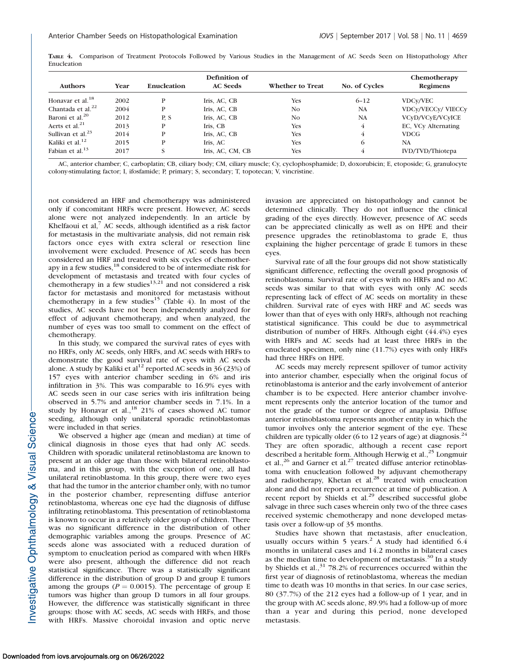|                             |      |                    | Definition of    |                         |                | Chemotherapy              |  |
|-----------------------------|------|--------------------|------------------|-------------------------|----------------|---------------------------|--|
| <b>Authors</b>              | Year | <b>Enucleation</b> | <b>AC</b> Seeds  | <b>Whether to Treat</b> | No. of Cycles  | <b>Regimens</b>           |  |
| Honavar et al. $^{18}$      | 2002 | P                  | Iris, AC, CB     | Yes                     | $6 - 12$       | <b>VDCy/VEC</b>           |  |
| Chantada et al. $^{22}$     | 2004 | P                  | Iris, AC, CB     | N <sub>0</sub>          | NA             | <b>VDCy/VECCy/ VIECCy</b> |  |
| Baroni et al. $20$          | 2012 | P.S                | Iris, AC, CB     | N <sub>0</sub>          | NA             | VCyD/VCyE/VCyICE          |  |
| Aerts et al. $^{21}$        | 2013 | P                  | Iris, CB         | <b>Yes</b>              | $\overline{4}$ | EC, VCy Alternating       |  |
| Sullivan et al. $^{23}$     | 2014 | P                  | Iris, AC, CB     | <b>Yes</b>              | $\overline{4}$ | <b>VDCG</b>               |  |
| Kaliki et al. <sup>12</sup> | 2015 | P                  | Iris, AC         | <b>Yes</b>              | 6              | <b>NA</b>                 |  |
| Fabian et al. $13$          | 2017 | S                  | Iris, AC, CM, CB | <b>Yes</b>              | $\overline{4}$ | IVD/TVD/Thiotepa          |  |

TABLE 4. Comparison of Treatment Protocols Followed by Various Studies in the Management of AC Seeds Seen on Histopathology After Enucleation

AC, anterior chamber; C, carboplatin; CB, ciliary body; CM, ciliary muscle; Cy, cyclophosphamide; D, doxorubicin; E, etoposide; G, granulocyte colony-stimulating factor; I, ifosfamide; P, primary; S, secondary; T, topotecan; V, vincristine.

not considered an HRF and chemotherapy was administered only if concomitant HRFs were present. However, AC seeds alone were not analyzed independently. In an article by Khelfaoui et al, $<sup>7</sup>$  AC seeds, although identified as a risk factor</sup> for metastasis in the multivariate analysis, did not remain risk factors once eyes with extra scleral or resection line involvement were excluded. Presence of AC seeds has been considered an HRF and treated with six cycles of chemotherapy in a few studies,<sup>18</sup> considered to be of intermediate risk for development of metastasis and treated with four cycles of chemotherapy in a few studies $13,21$  and not considered a risk factor for metastasis and monitored for metastasis without chemotherapy in a few studies<sup>15</sup> (Table 4). In most of the studies, AC seeds have not been independently analyzed for effect of adjuvant chemotherapy, and when analyzed, the number of eyes was too small to comment on the effect of chemotherapy.

In this study, we compared the survival rates of eyes with no HRFs, only AC seeds, only HRFs, and AC seeds with HRFs to demonstrate the good survival rate of eyes with AC seeds alone. A study by Kaliki et al<sup>12</sup> reported AC seeds in 36 (23%) of 157 eyes with anterior chamber seeding in 6% and iris infiltration in 3%. This was comparable to 16.9% eyes with AC seeds seen in our case series with iris infiltration being observed in 5.7% and anterior chamber seeds in 7.1%. In a study by Honavar et al.,<sup>18</sup> 21% of cases showed AC tumor seeding, although only unilateral sporadic retinoblastomas were included in that series.

We observed a higher age (mean and median) at time of clinical diagnosis in those eyes that had only AC seeds. Children with sporadic unilateral retinoblastoma are known to present at an older age than those with bilateral retinoblastoma, and in this group, with the exception of one, all had unilateral retinoblastoma. In this group, there were two eyes that had the tumor in the anterior chamber only, with no tumor in the posterior chamber, representing diffuse anterior retinoblastoma, whereas one eye had the diagnosis of diffuse infiltrating retinoblastoma. This presentation of retinoblastoma is known to occur in a relatively older group of children. There was no significant difference in the distribution of other demographic variables among the groups. Presence of AC seeds alone was associated with a reduced duration of symptom to enucleation period as compared with when HRFs were also present, although the difference did not reach statistical significance. There was a statistically significant difference in the distribution of group D and group E tumors among the groups ( $P = 0.0015$ ). The percentage of group E tumors was higher than group D tumors in all four groups. However, the difference was statistically significant in three groups: those with AC seeds, AC seeds with HRFs, and those with HRFs. Massive choroidal invasion and optic nerve

invasion are appreciated on histopathology and cannot be determined clinically. They do not influence the clinical grading of the eyes directly. However, presence of AC seeds can be appreciated clinically as well as on HPE and their presence upgrades the retinoblastoma to grade E, thus explaining the higher percentage of grade E tumors in these eyes.

Survival rate of all the four groups did not show statistically significant difference, reflecting the overall good prognosis of retinoblastoma. Survival rate of eyes with no HRFs and no AC seeds was similar to that with eyes with only AC seeds representing lack of effect of AC seeds on mortality in these children. Survival rate of eyes with HRF and AC seeds was lower than that of eyes with only HRFs, although not reaching statistical significance. This could be due to asymmetrical distribution of number of HRFs. Although eight (44.4%) eyes with HRFs and AC seeds had at least three HRFs in the enucleated specimen, only nine (11.7%) eyes with only HRFs had three HRFs on HPE.

AC seeds may merely represent spillover of tumor activity into anterior chamber, especially when the original focus of retinoblastoma is anterior and the early involvement of anterior chamber is to be expected. Here anterior chamber involvement represents only the anterior location of the tumor and not the grade of the tumor or degree of anaplasia. Diffuse anterior retinoblastoma represents another entity in which the tumor involves only the anterior segment of the eye. These children are typically older (6 to 12 years of age) at diagnosis. $2^2$ They are often sporadic, although a recent case report described a heritable form. Although Herwig et al.,<sup>25</sup> Longmuir et al.,<sup>26</sup> and Garner et al.<sup>27</sup> treated diffuse anterior retinoblastoma with enucleation followed by adjuvant chemotherapy and radiotherapy, Khetan et al.<sup>28</sup> treated with enucleation alone and did not report a recurrence at time of publication. A recent report by Shields et al.<sup>29</sup> described successful globe salvage in three such cases wherein only two of the three cases received systemic chemotherapy and none developed metastasis over a follow-up of 35 months.

Studies have shown that metastasis, after enucleation, usually occurs within 5 years.<sup>2</sup> A study had identified  $6.4$ months in unilateral cases and 14.2 months in bilateral cases as the median time to development of metastasis. $30$  In a study by Shields et al.,  $31$  78.2% of recurrences occurred within the first year of diagnosis of retinoblastoma, whereas the median time to death was 10 months in that series. In our case series, 80 (37.7%) of the 212 eyes had a follow-up of 1 year, and in the group with AC seeds alone, 89.9% had a follow-up of more than a year and during this period, none developed metastasis.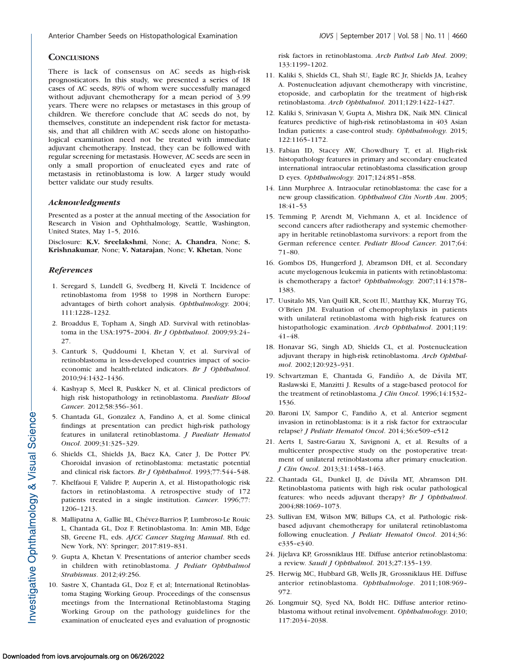# **CONCLUSIONS**

There is lack of consensus on AC seeds as high-risk prognosticators. In this study, we presented a series of 18 cases of AC seeds, 89% of whom were successfully managed without adjuvant chemotherapy for a mean period of 3.99 years. There were no relapses or metastases in this group of children. We therefore conclude that AC seeds do not, by themselves, constitute an independent risk factor for metastasis, and that all children with AC seeds alone on histopathological examination need not be treated with immediate adjuvant chemotherapy. Instead, they can be followed with regular screening for metastasis. However, AC seeds are seen in only a small proportion of enucleated eyes and rate of metastasis in retinoblastoma is low. A larger study would better validate our study results.

## Acknowledgments

Presented as a poster at the annual meeting of the Association for Research in Vision and Ophthalmology, Seattle, Washington, United States, May 1–5, 2016.

Disclosure: K.V. Sreelakshmi, None; A. Chandra, None; S. Krishnakumar, None; V. Natarajan, None; V. Khetan, None

## References

- 1. Seregard S, Lundell G, Svedberg H, Kivelä T. Incidence of retinoblastoma from 1958 to 1998 in Northern Europe: advantages of birth cohort analysis. Ophthalmology. 2004; 111:1228–1232.
- 2. Broaddus E, Topham A, Singh AD. Survival with retinoblastoma in the USA:1975–2004. Br J Ophthalmol. 2009;93:24– 27.
- 3. Canturk S, Quddoumi I, Khetan V, et al. Survival of retinoblastoma in less-developed countries impact of socioeconomic and health-related indicators. Br J Ophthalmol. 2010;94:1432–1436.
- 4. Kashyap S, Meel R, Puskker N, et al. Clinical predictors of high risk histopathology in retinoblastoma. Paediatr Blood Cancer. 2012;58:356–361.
- 5. Chantada GL, Gonzalez A, Fandino A, et al. Some clinical findings at presentation can predict high-risk pathology features in unilateral retinoblastoma. J Paediatr Hematol Oncol. 2009;31:325–329.
- 6. Shields CL, Shields JA, Baez KA, Cater J, De Potter PV. Choroidal invasion of retinoblastoma: metastatic potential and clinical risk factors. Br J Ophthalmol. 1993;77:544–548.
- 7. Khelfaoui F, Validre P, Auperin A, et al. Histopathologic risk factors in retinoblastoma. A retrospective study of 172 patients treated in a single institution. Cancer. 1996;77: 1206–1213.
- 8. Mallipatna A, Gallie BL, Chévez-Barrios P, Lumbroso-Le Rouic L, Chantada GL, Doz F. Retinoblastoma. In: Amin MB, Edge SB, Greene FL, eds. AJCC Cancer Staging Manual. 8th ed. New York, NY: Springer; 2017:819–831.
- 9. Gupta A, Khetan V. Presentations of anterior chamber seeds in children with retinoblastoma. J Pediatr Ophthalmol Strabismus. 2012;49:256.
- 10. Sastre X, Chantada GL, Doz F, et al; International Retinoblastoma Staging Working Group. Proceedings of the consensus meetings from the International Retinoblastoma Staging Working Group on the pathology guidelines for the examination of enucleated eyes and evaluation of prognostic

risk factors in retinoblastoma. Arch Pathol Lab Med. 2009; 133:1199–1202.

- 11. Kaliki S, Shields CL, Shah SU, Eagle RC Jr, Shields JA, Leahey A. Postenucleation adjuvant chemotherapy with vincristine, etoposide, and carboplatin for the treatment of high-risk retinoblastoma. Arch Ophthalmol. 2011;129:1422–1427.
- 12. Kaliki S, Srinivasan V, Gupta A, Mishra DK, Naik MN. Clinical features predictive of high-risk retinoblastoma in 403 Asian Indian patients: a case-control study. Ophthalmology. 2015; 122:1165–1172.
- 13. Fabian ID, Stacey AW, Chowdhury T, et al. High-risk histopathology features in primary and secondary enucleated international intraocular retinoblastoma classification group D eyes. Ophthalmology. 2017;124:851–858.
- 14. Linn Murphree A. Intraocular retinoblastoma: the case for a new group classification. Ophthalmol Clin North Am. 2005; 18:41–53
- 15. Temming P, Arendt M, Viehmann A, et al. Incidence of second cancers after radiotherapy and systemic chemotherapy in heritable retinoblastoma survivors: a report from the German reference center. Pediatr Blood Cancer. 2017;64: 71–80.
- 16. Gombos DS, Hungerford J, Abramson DH, et al. Secondary acute myelogenous leukemia in patients with retinoblastoma: is chemotherapy a factor? Ophthalmology. 2007;114:1378– 1383.
- 17. Uusitalo MS, Van Quill KR, Scott IU, Matthay KK, Murray TG, O'Brien JM. Evaluation of chemoprophylaxis in patients with unilateral retinoblastoma with high-risk features on histopathologic examination. Arch Ophthalmol. 2001;119: 41–48.
- 18. Honavar SG, Singh AD, Shields CL, et al. Postenucleation adjuvant therapy in high-risk retinoblastoma. Arch Ophthalmol. 2002;120:923–931.
- 19. Schvartzman E, Chantada G, Fandiño A, de Dávila MT, Raslawski E, Manzitti J. Results of a stage-based protocol for the treatment of retinoblastoma. J Clin Oncol. 1996;14:1532-1536.
- 20. Baroni LV, Sampor C, Fandiño A, et al. Anterior segment invasion in retinoblastoma: is it a risk factor for extraocular relapse? J Pediatr Hematol Oncol. 2014;36:e509–e512
- 21. Aerts I, Sastre-Garau X, Savignoni A, et al. Results of a multicenter prospective study on the postoperative treatment of unilateral retinoblastoma after primary enucleation. J Clin Oncol. 2013;31:1458–1463.
- 22. Chantada GL, Dunkel IJ, de D´avila MT, Abramson DH. Retinoblastoma patients with high risk ocular pathological features: who needs adjuvant therapy? Br J Ophthalmol. 2004;88:1069–1073.
- 23. Sullivan EM, Wilson MW, Billups CA, et al. Pathologic riskbased adjuvant chemotherapy for unilateral retinoblastoma following enucleation. *J Pediatr Hematol Oncol*. 2014;36: e335–e340.
- 24. Jijelava KP, Grossniklaus HE. Diffuse anterior retinoblastoma: a review. Saudi J Ophthalmol. 2013;27:135–139.
- 25. Herwig MC, Hubbard GB, Wells JR, Grossniklaus HE. Diffuse anterior retinoblastoma. Ophthalmologe. 2011;108:969– 972.
- 26. Longmuir SQ, Syed NA, Boldt HC. Diffuse anterior retinoblastoma without retinal involvement. Ophthalmology. 2010; 117:2034–2038.